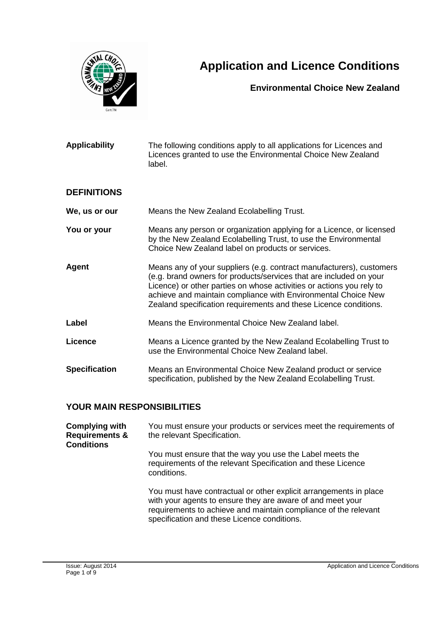

# **Application and Licence Conditions**

#### **Environmental Choice New Zealand**

| <b>Applicability</b> | The following conditions apply to all applications for Licences and<br>Licences granted to use the Environmental Choice New Zealand<br>label.                                                                                                                                                                                                           |
|----------------------|---------------------------------------------------------------------------------------------------------------------------------------------------------------------------------------------------------------------------------------------------------------------------------------------------------------------------------------------------------|
| <b>DEFINITIONS</b>   |                                                                                                                                                                                                                                                                                                                                                         |
| We, us or our        | Means the New Zealand Ecolabelling Trust.                                                                                                                                                                                                                                                                                                               |
| You or your          | Means any person or organization applying for a Licence, or licensed<br>by the New Zealand Ecolabelling Trust, to use the Environmental<br>Choice New Zealand label on products or services.                                                                                                                                                            |
| Agent                | Means any of your suppliers (e.g. contract manufacturers), customers<br>(e.g. brand owners for products/services that are included on your<br>Licence) or other parties on whose activities or actions you rely to<br>achieve and maintain compliance with Environmental Choice New<br>Zealand specification requirements and these Licence conditions. |
| Label                | Means the Environmental Choice New Zealand label.                                                                                                                                                                                                                                                                                                       |
| <b>Licence</b>       | Means a Licence granted by the New Zealand Ecolabelling Trust to<br>use the Environmental Choice New Zealand label.                                                                                                                                                                                                                                     |
| <b>Specification</b> | Means an Environmental Choice New Zealand product or service<br>specification, published by the New Zealand Ecolabelling Trust.                                                                                                                                                                                                                         |

## **YOUR MAIN RESPONSIBILITIES**

| <b>Complying with</b><br><b>Requirements &amp;</b><br><b>Conditions</b> | You must ensure your products or services meet the requirements of<br>the relevant Specification.                                                                                                                                                 |
|-------------------------------------------------------------------------|---------------------------------------------------------------------------------------------------------------------------------------------------------------------------------------------------------------------------------------------------|
|                                                                         | You must ensure that the way you use the Label meets the<br>requirements of the relevant Specification and these Licence<br>conditions.                                                                                                           |
|                                                                         | You must have contractual or other explicit arrangements in place<br>with your agents to ensure they are aware of and meet your<br>requirements to achieve and maintain compliance of the relevant<br>specification and these Licence conditions. |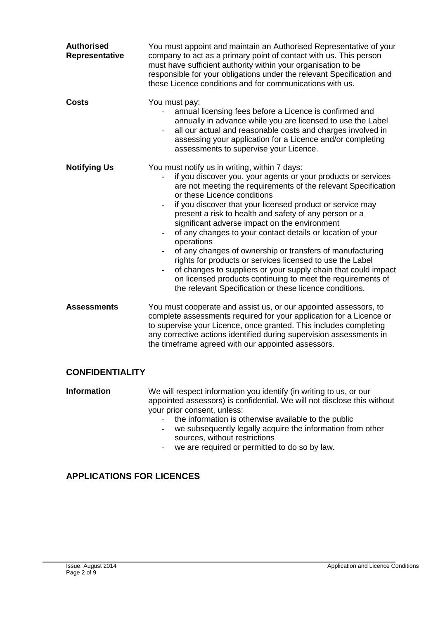| <b>Authorised</b><br><b>Representative</b> | You must appoint and maintain an Authorised Representative of your<br>company to act as a primary point of contact with us. This person<br>must have sufficient authority within your organisation to be<br>responsible for your obligations under the relevant Specification and<br>these Licence conditions and for communications with us.                                                                                                                                                                                                                                                                                                                                                                                                                                                                                                     |
|--------------------------------------------|---------------------------------------------------------------------------------------------------------------------------------------------------------------------------------------------------------------------------------------------------------------------------------------------------------------------------------------------------------------------------------------------------------------------------------------------------------------------------------------------------------------------------------------------------------------------------------------------------------------------------------------------------------------------------------------------------------------------------------------------------------------------------------------------------------------------------------------------------|
| <b>Costs</b>                               | You must pay:<br>annual licensing fees before a Licence is confirmed and<br>annually in advance while you are licensed to use the Label<br>all our actual and reasonable costs and charges involved in<br>assessing your application for a Licence and/or completing<br>assessments to supervise your Licence.                                                                                                                                                                                                                                                                                                                                                                                                                                                                                                                                    |
| <b>Notifying Us</b>                        | You must notify us in writing, within 7 days:<br>if you discover you, your agents or your products or services<br>are not meeting the requirements of the relevant Specification<br>or these Licence conditions<br>if you discover that your licensed product or service may<br>$\overline{\phantom{a}}$<br>present a risk to health and safety of any person or a<br>significant adverse impact on the environment<br>of any changes to your contact details or location of your<br>operations<br>of any changes of ownership or transfers of manufacturing<br>rights for products or services licensed to use the Label<br>of changes to suppliers or your supply chain that could impact<br>$\overline{\phantom{a}}$<br>on licensed products continuing to meet the requirements of<br>the relevant Specification or these licence conditions. |
| <b>Assessments</b>                         | You must cooperate and assist us, or our appointed assessors, to<br>complete assessments required for your application for a Licence or<br>to supervise your Licence, once granted. This includes completing<br>any corrective actions identified during supervision assessments in<br>the timeframe agreed with our appointed assessors.                                                                                                                                                                                                                                                                                                                                                                                                                                                                                                         |

### **CONFIDENTIALITY**

**Information** We will respect information you identify (in writing to us, or our appointed assessors) is confidential. We will not disclose this without your prior consent, unless:

- the information is otherwise available to the public
- we subsequently legally acquire the information from other sources, without restrictions
- we are required or permitted to do so by law.

### **APPLICATIONS FOR LICENCES**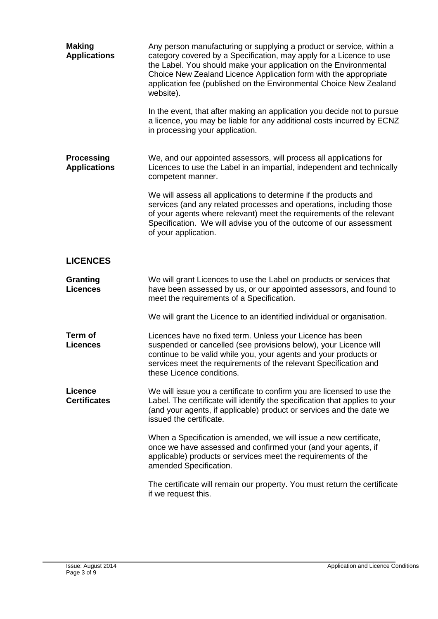| <b>Making</b><br><b>Applications</b>     | Any person manufacturing or supplying a product or service, within a<br>category covered by a Specification, may apply for a Licence to use<br>the Label. You should make your application on the Environmental<br>Choice New Zealand Licence Application form with the appropriate<br>application fee (published on the Environmental Choice New Zealand<br>website).<br>In the event, that after making an application you decide not to pursue<br>a licence, you may be liable for any additional costs incurred by ECNZ<br>in processing your application. |
|------------------------------------------|----------------------------------------------------------------------------------------------------------------------------------------------------------------------------------------------------------------------------------------------------------------------------------------------------------------------------------------------------------------------------------------------------------------------------------------------------------------------------------------------------------------------------------------------------------------|
| <b>Processing</b><br><b>Applications</b> | We, and our appointed assessors, will process all applications for<br>Licences to use the Label in an impartial, independent and technically<br>competent manner.<br>We will assess all applications to determine if the products and<br>services (and any related processes and operations, including those<br>of your agents where relevant) meet the requirements of the relevant<br>Specification. We will advise you of the outcome of our assessment<br>of your application.                                                                             |
| <b>LICENCES</b>                          |                                                                                                                                                                                                                                                                                                                                                                                                                                                                                                                                                                |
| <b>Granting</b><br><b>Licences</b>       | We will grant Licences to use the Label on products or services that<br>have been assessed by us, or our appointed assessors, and found to<br>meet the requirements of a Specification.                                                                                                                                                                                                                                                                                                                                                                        |
|                                          | We will grant the Licence to an identified individual or organisation.                                                                                                                                                                                                                                                                                                                                                                                                                                                                                         |
| Term of<br><b>Licences</b>               | Licences have no fixed term. Unless your Licence has been<br>suspended or cancelled (see provisions below), your Licence will<br>continue to be valid while you, your agents and your products or<br>services meet the requirements of the relevant Specification and<br>these Licence conditions.                                                                                                                                                                                                                                                             |
| <b>Licence</b><br><b>Certificates</b>    | We will issue you a certificate to confirm you are licensed to use the<br>Label. The certificate will identify the specification that applies to your<br>(and your agents, if applicable) product or services and the date we<br>issued the certificate.                                                                                                                                                                                                                                                                                                       |
|                                          | When a Specification is amended, we will issue a new certificate,<br>once we have assessed and confirmed your (and your agents, if<br>applicable) products or services meet the requirements of the<br>amended Specification.                                                                                                                                                                                                                                                                                                                                  |
|                                          | The certificate will remain our property. You must return the certificate<br>if we request this.                                                                                                                                                                                                                                                                                                                                                                                                                                                               |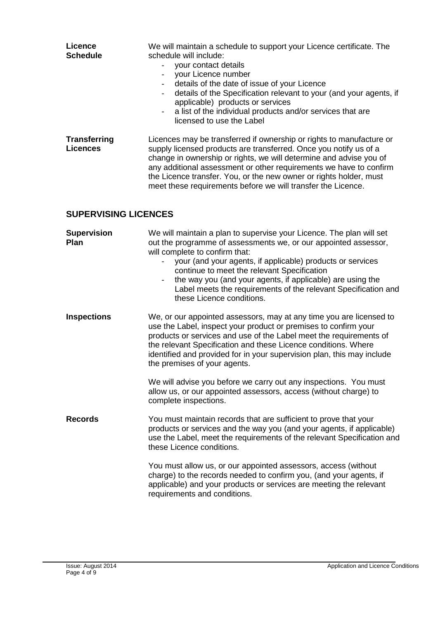| Licence<br><b>Schedule</b>             | We will maintain a schedule to support your Licence certificate. The<br>schedule will include:<br>your contact details<br>$\blacksquare$<br>your Licence number<br>$\overline{\phantom{a}}$<br>details of the date of issue of your Licence<br>$\overline{\phantom{a}}$<br>details of the Specification relevant to your (and your agents, if<br>$\overline{\phantom{a}}$<br>applicable) products or services<br>a list of the individual products and/or services that are<br>licensed to use the Label                                                  |
|----------------------------------------|-----------------------------------------------------------------------------------------------------------------------------------------------------------------------------------------------------------------------------------------------------------------------------------------------------------------------------------------------------------------------------------------------------------------------------------------------------------------------------------------------------------------------------------------------------------|
| <b>Transferring</b><br><b>Licences</b> | Licences may be transferred if ownership or rights to manufacture or<br>supply licensed products are transferred. Once you notify us of a<br>change in ownership or rights, we will determine and advise you of<br>any additional assessment or other requirements we have to confirm<br>the Licence transfer. You, or the new owner or rights holder, must<br>meet these requirements before we will transfer the Licence.                                                                                                                               |
| <b>SUPERVISING LICENCES</b>            |                                                                                                                                                                                                                                                                                                                                                                                                                                                                                                                                                           |
| <b>Supervision</b><br>Plan             | We will maintain a plan to supervise your Licence. The plan will set<br>out the programme of assessments we, or our appointed assessor,<br>will complete to confirm that:<br>your (and your agents, if applicable) products or services<br>$\overline{\phantom{0}}$<br>continue to meet the relevant Specification<br>the way you (and your agents, if applicable) are using the<br>Label meets the requirements of the relevant Specification and<br>these Licence conditions.                                                                           |
| <b>Inspections</b>                     | We, or our appointed assessors, may at any time you are licensed to<br>use the Label, inspect your product or premises to confirm your<br>products or services and use of the Label meet the requirements of<br>the relevant Specification and these Licence conditions. Where<br>identified and provided for in your supervision plan, this may include<br>the premises of your agents.<br>We will advise you before we carry out any inspections. You must<br>allow us, or our appointed assessors, access (without charge) to<br>complete inspections. |
| <b>Records</b>                         | You must maintain records that are sufficient to prove that your<br>products or services and the way you (and your agents, if applicable)<br>use the Label, meet the requirements of the relevant Specification and<br>these Licence conditions.                                                                                                                                                                                                                                                                                                          |
|                                        | You must allow us, or our appointed assessors, access (without<br>charge) to the records needed to confirm you, (and your agents, if<br>applicable) and your products or services are meeting the relevant<br>requirements and conditions.                                                                                                                                                                                                                                                                                                                |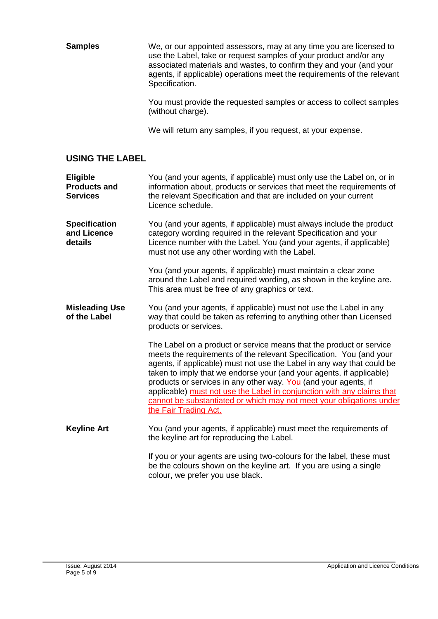**Samples** We, or our appointed assessors, may at any time you are licensed to use the Label, take or request samples of your product and/or any associated materials and wastes, to confirm they and your (and your agents, if applicable) operations meet the requirements of the relevant Specification.

> You must provide the requested samples or access to collect samples (without charge).

We will return any samples, if you request, at your expense.

#### **USING THE LABEL**

| Eligible<br><b>Products and</b><br><b>Services</b> | You (and your agents, if applicable) must only use the Label on, or in<br>information about, products or services that meet the requirements of<br>the relevant Specification and that are included on your current<br>Licence schedule.                                                                                                                                                                                                                                                                                                   |
|----------------------------------------------------|--------------------------------------------------------------------------------------------------------------------------------------------------------------------------------------------------------------------------------------------------------------------------------------------------------------------------------------------------------------------------------------------------------------------------------------------------------------------------------------------------------------------------------------------|
| <b>Specification</b><br>and Licence<br>details     | You (and your agents, if applicable) must always include the product<br>category wording required in the relevant Specification and your<br>Licence number with the Label. You (and your agents, if applicable)<br>must not use any other wording with the Label.                                                                                                                                                                                                                                                                          |
|                                                    | You (and your agents, if applicable) must maintain a clear zone<br>around the Label and required wording, as shown in the keyline are.<br>This area must be free of any graphics or text.                                                                                                                                                                                                                                                                                                                                                  |
| <b>Misleading Use</b><br>of the Label              | You (and your agents, if applicable) must not use the Label in any<br>way that could be taken as referring to anything other than Licensed<br>products or services.                                                                                                                                                                                                                                                                                                                                                                        |
|                                                    | The Label on a product or service means that the product or service<br>meets the requirements of the relevant Specification. You (and your<br>agents, if applicable) must not use the Label in any way that could be<br>taken to imply that we endorse your (and your agents, if applicable)<br>products or services in any other way. You (and your agents, if<br>applicable) must not use the Label in conjunction with any claims that<br>cannot be substantiated or which may not meet your obligations under<br>the Fair Trading Act. |
| <b>Keyline Art</b>                                 | You (and your agents, if applicable) must meet the requirements of<br>the keyline art for reproducing the Label.                                                                                                                                                                                                                                                                                                                                                                                                                           |
|                                                    | If you or your agents are using two-colours for the label, these must<br>be the colours shown on the keyline art. If you are using a single<br>colour, we prefer you use black.                                                                                                                                                                                                                                                                                                                                                            |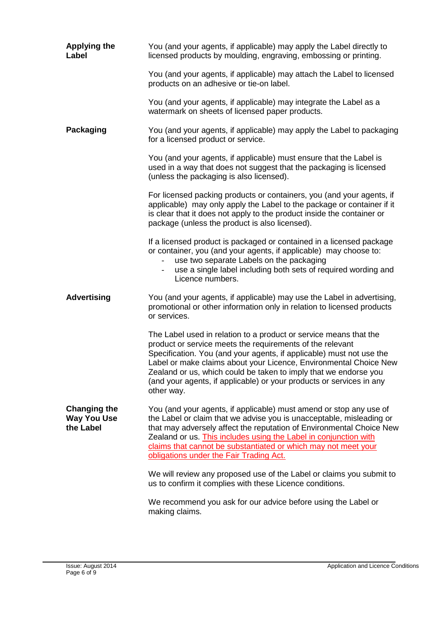| <b>Applying the</b><br>Label                           | You (and your agents, if applicable) may apply the Label directly to<br>licensed products by moulding, engraving, embossing or printing.                                                                                                                                                                                                                                                                                              |
|--------------------------------------------------------|---------------------------------------------------------------------------------------------------------------------------------------------------------------------------------------------------------------------------------------------------------------------------------------------------------------------------------------------------------------------------------------------------------------------------------------|
|                                                        | You (and your agents, if applicable) may attach the Label to licensed<br>products on an adhesive or tie-on label.                                                                                                                                                                                                                                                                                                                     |
|                                                        | You (and your agents, if applicable) may integrate the Label as a<br>watermark on sheets of licensed paper products.                                                                                                                                                                                                                                                                                                                  |
| <b>Packaging</b>                                       | You (and your agents, if applicable) may apply the Label to packaging<br>for a licensed product or service.                                                                                                                                                                                                                                                                                                                           |
|                                                        | You (and your agents, if applicable) must ensure that the Label is<br>used in a way that does not suggest that the packaging is licensed<br>(unless the packaging is also licensed).                                                                                                                                                                                                                                                  |
|                                                        | For licensed packing products or containers, you (and your agents, if<br>applicable) may only apply the Label to the package or container if it<br>is clear that it does not apply to the product inside the container or<br>package (unless the product is also licensed).                                                                                                                                                           |
|                                                        | If a licensed product is packaged or contained in a licensed package<br>or container, you (and your agents, if applicable) may choose to:<br>use two separate Labels on the packaging<br>$\overline{\phantom{0}}$<br>use a single label including both sets of required wording and<br>$-$<br>Licence numbers.                                                                                                                        |
| <b>Advertising</b>                                     | You (and your agents, if applicable) may use the Label in advertising,<br>promotional or other information only in relation to licensed products<br>or services.                                                                                                                                                                                                                                                                      |
|                                                        | The Label used in relation to a product or service means that the<br>product or service meets the requirements of the relevant<br>Specification. You (and your agents, if applicable) must not use the<br>Label or make claims about your Licence, Environmental Choice New<br>Zealand or us, which could be taken to imply that we endorse you<br>(and your agents, if applicable) or your products or services in any<br>other way. |
| <b>Changing the</b><br><b>Way You Use</b><br>the Label | You (and your agents, if applicable) must amend or stop any use of<br>the Label or claim that we advise you is unacceptable, misleading or<br>that may adversely affect the reputation of Environmental Choice New<br>Zealand or us. This includes using the Label in conjunction with<br>claims that cannot be substantiated or which may not meet your<br>obligations under the Fair Trading Act.                                   |
|                                                        | We will review any proposed use of the Label or claims you submit to<br>us to confirm it complies with these Licence conditions.                                                                                                                                                                                                                                                                                                      |
|                                                        | We recommend you ask for our advice before using the Label or<br>making claims.                                                                                                                                                                                                                                                                                                                                                       |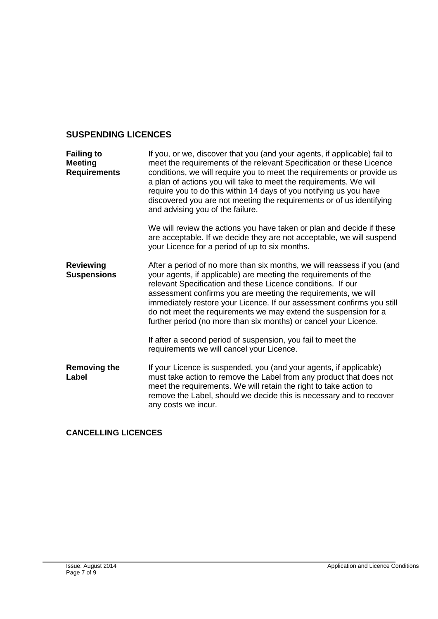## **SUSPENDING LICENCES**

| <b>Failing to</b><br><b>Meeting</b><br><b>Requirements</b> | If you, or we, discover that you (and your agents, if applicable) fail to<br>meet the requirements of the relevant Specification or these Licence<br>conditions, we will require you to meet the requirements or provide us<br>a plan of actions you will take to meet the requirements. We will<br>require you to do this within 14 days of you notifying us you have<br>discovered you are not meeting the requirements or of us identifying<br>and advising you of the failure.                                                                          |
|------------------------------------------------------------|-------------------------------------------------------------------------------------------------------------------------------------------------------------------------------------------------------------------------------------------------------------------------------------------------------------------------------------------------------------------------------------------------------------------------------------------------------------------------------------------------------------------------------------------------------------|
|                                                            | We will review the actions you have taken or plan and decide if these<br>are acceptable. If we decide they are not acceptable, we will suspend<br>your Licence for a period of up to six months.                                                                                                                                                                                                                                                                                                                                                            |
| <b>Reviewing</b><br><b>Suspensions</b>                     | After a period of no more than six months, we will reassess if you (and<br>your agents, if applicable) are meeting the requirements of the<br>relevant Specification and these Licence conditions. If our<br>assessment confirms you are meeting the requirements, we will<br>immediately restore your Licence. If our assessment confirms you still<br>do not meet the requirements we may extend the suspension for a<br>further period (no more than six months) or cancel your Licence.<br>If after a second period of suspension, you fail to meet the |
|                                                            | requirements we will cancel your Licence.                                                                                                                                                                                                                                                                                                                                                                                                                                                                                                                   |
| <b>Removing the</b><br>Label                               | If your Licence is suspended, you (and your agents, if applicable)<br>must take action to remove the Label from any product that does not<br>meet the requirements. We will retain the right to take action to<br>remove the Label, should we decide this is necessary and to recover<br>any costs we incur.                                                                                                                                                                                                                                                |

### **CANCELLING LICENCES**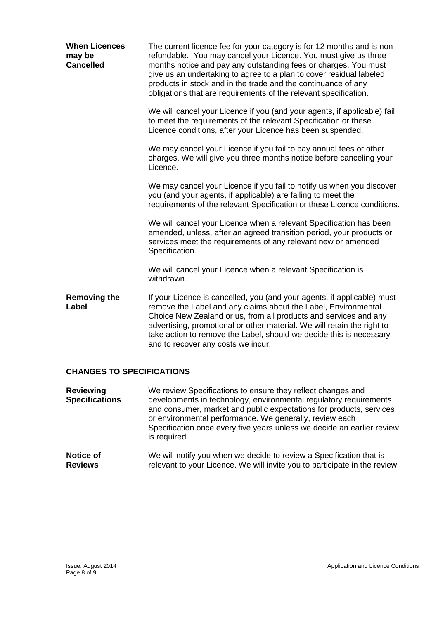| <b>When Licences</b><br>may be<br><b>Cancelled</b> | The current licence fee for your category is for 12 months and is non-<br>refundable. You may cancel your Licence. You must give us three<br>months notice and pay any outstanding fees or charges. You must<br>give us an undertaking to agree to a plan to cover residual labeled<br>products in stock and in the trade and the continuance of any<br>obligations that are requirements of the relevant specification. |
|----------------------------------------------------|--------------------------------------------------------------------------------------------------------------------------------------------------------------------------------------------------------------------------------------------------------------------------------------------------------------------------------------------------------------------------------------------------------------------------|
|                                                    | We will cancel your Licence if you (and your agents, if applicable) fail<br>to meet the requirements of the relevant Specification or these<br>Licence conditions, after your Licence has been suspended.                                                                                                                                                                                                                |
|                                                    | We may cancel your Licence if you fail to pay annual fees or other<br>charges. We will give you three months notice before canceling your<br>Licence.                                                                                                                                                                                                                                                                    |
|                                                    | We may cancel your Licence if you fail to notify us when you discover<br>you (and your agents, if applicable) are failing to meet the<br>requirements of the relevant Specification or these Licence conditions.                                                                                                                                                                                                         |
|                                                    | We will cancel your Licence when a relevant Specification has been<br>amended, unless, after an agreed transition period, your products or<br>services meet the requirements of any relevant new or amended<br>Specification.                                                                                                                                                                                            |
|                                                    | We will cancel your Licence when a relevant Specification is<br>withdrawn.                                                                                                                                                                                                                                                                                                                                               |
| <b>Removing the</b><br>Label                       | If your Licence is cancelled, you (and your agents, if applicable) must<br>remove the Label and any claims about the Label, Environmental<br>Choice New Zealand or us, from all products and services and any<br>advertising, promotional or other material. We will retain the right to<br>take action to remove the Label, should we decide this is necessary<br>and to recover any costs we incur.                    |
| <b>CHANGES TO SPECIFICATIONS</b>                   |                                                                                                                                                                                                                                                                                                                                                                                                                          |
| <b>Reviewing</b><br><b>Specifications</b>          | We review Specifications to ensure they reflect changes and<br>developments in technology, environmental regulatory requirements<br>and consumer, market and public expectations for products, services<br>or environmental performance. We generally, review each                                                                                                                                                       |

| Notice of      | We will notify you when we decide to review a Specification that is        |
|----------------|----------------------------------------------------------------------------|
| <b>Reviews</b> | relevant to your Licence. We will invite you to participate in the review. |

is required.

Specification once every five years unless we decide an earlier review